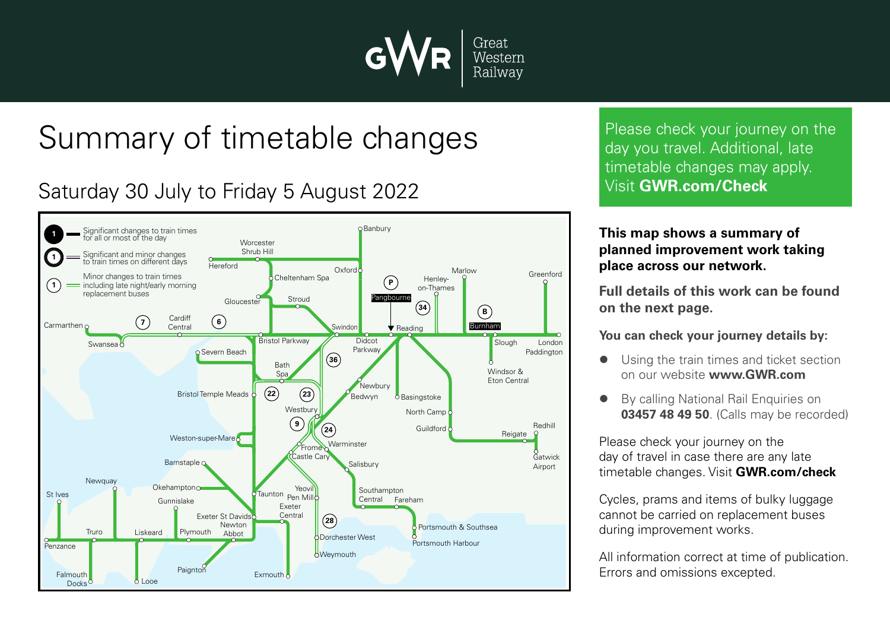

## Summary of timetable changes

## Saturday 30 July to Friday 5 August 2022



Please check your journey on the day you travel. Additional, late timetable changes may apply. Visit **GWR.com/Check**

## **This map shows a summary of planned improvement work taking place across our network.**

**Full details of this work can be found on the next page.**

**You can check your journey details by:**

- Using the train times and ticket section on our website **www.GWR.com**
- By calling National Rail Enquiries on **03457 48 49 50**. (Calls may be recorded)

Please check your journey on the day of travel in case there are any late timetable changes. Visit **GWR.com/check**

Cycles, prams and items of bulky luggage cannot be carried on replacement buses during improvement works.

All information correct at time of publication. Errors and omissions excepted.